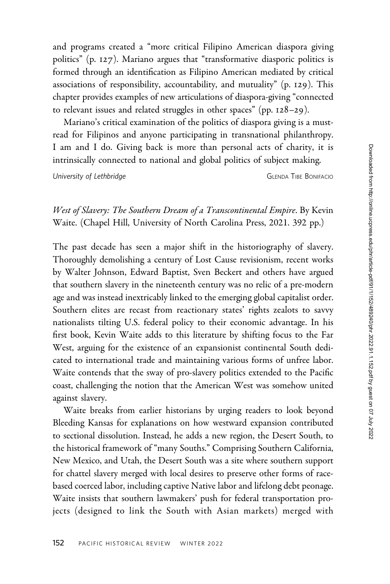and programs created a "more critical Filipino American diaspora giving politics" (p. 127). Mariano argues that "transformative diasporic politics is formed through an identification as Filipino American mediated by critical associations of responsibility, accountability, and mutuality" (p. 129). This chapter provides examples of new articulations of diaspora-giving "connected to relevant issues and related struggles in other spaces" (pp. 128–29).

Mariano's critical examination of the politics of diaspora giving is a mustread for Filipinos and anyone participating in transnational philanthropy. I am and I do. Giving back is more than personal acts of charity, it is intrinsically connected to national and global politics of subject making.

University of Lethbridge CHENDA TIBE BONIFACIO

West of Slavery: The Southern Dream of a Transcontinental Empire. By Kevin Waite. (Chapel Hill, University of North Carolina Press, 2021. 392 pp.)

The past decade has seen a major shift in the historiography of slavery. Thoroughly demolishing a century of Lost Cause revisionism, recent works by Walter Johnson, Edward Baptist, Sven Beckert and others have argued that southern slavery in the nineteenth century was no relic of a pre-modern age and was instead inextricably linked to the emerging global capitalist order. Southern elites are recast from reactionary states' rights zealots to savvy nationalists tilting U.S. federal policy to their economic advantage. In his first book, Kevin Waite adds to this literature by shifting focus to the Far West, arguing for the existence of an expansionist continental South dedicated to international trade and maintaining various forms of unfree labor. Waite contends that the sway of pro-slavery politics extended to the Pacific coast, challenging the notion that the American West was somehow united against slavery.

Waite breaks from earlier historians by urging readers to look beyond Bleeding Kansas for explanations on how westward expansion contributed to sectional dissolution. Instead, he adds a new region, the Desert South, to the historical framework of "many Souths." Comprising Southern California, New Mexico, and Utah, the Desert South was a site where southern support for chattel slavery merged with local desires to preserve other forms of racebased coerced labor, including captive Native labor and lifelong debt peonage. Waite insists that southern lawmakers' push for federal transportation projects (designed to link the South with Asian markets) merged with